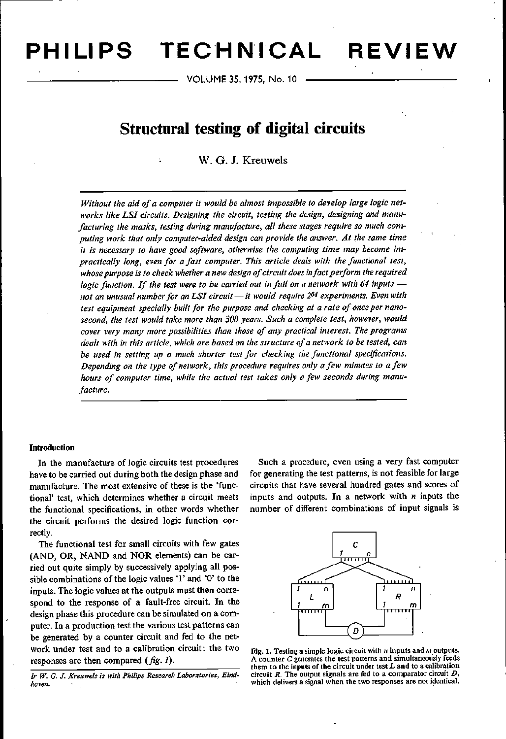**PH I LI PS TEC'H N'ICAL REVIEW**

VOLUME 35, 1975, No. 10

# **Structural testing of digital circuits**

# w. G. J. Kreuwels

*Without the aid of a computer it would be almost impossible to develop large logic networks like LSI circuits. Designing the circuit, testing the design, designing and manufacturing the masks, testing during manufacture, all these stages require so much computing work that only computer-aided design can provide the answer. At the same time* it is *necessary to have good software, otherwise the computing time may become impractically long, even for a fast computer. This article deals with the functional test, whosepurpose is to check whethera new designof circuit doesinfact perform the required logic function. If the test were to be carried out in full on a network with* 64 *inputs not an unusual numberfor anLSI circuit - it would require* 2<sup>64</sup> *experiments. Even with test equipment specially built* for the *purpose* and *checking* at a rate of once per *nanosecond, the test would take more than 300 years. Such a complete test, however, would cover very many more possibilities than those of any practical interest. The programs dealt with in this article, whichare based on the structure of a network to be tested, can be used in setting up a much shorter test for checking the functional specifications. Depending on the type of network, this procedure requires only a few minutes to a few hours of computer time, while the actual test takes only a few seconds during manufacture.*

# Introduetion

In the manufacture of logic circuits test procedures have to be carried out during both the design phase and manufacture. The most extensive of these is the 'functional' test, which determines whether a circuit meets the functional specifications, in other words whether the circuit performs the desired logic function correctly.

The functional test for small circuits with few gates (AND, OR, NAND and NOR elements) can be carried out quite simply by successively applying all possible combinations of the logic values '1' and '0' to the inputs. The logic values at the outputs must then correspond to the response of a fault-free circuit. In the design phase this procedure can be simulated on a computer. In a production test the various test patterns can be generated by a counter circuit and fed to the network under test and to a calibration circuit: the two responses are then compared *(fig. 1).*

*lr W.* G. *J. Kreuwels is with Philips Research Laboratories, Eindhoven.*

Such a procedure, even using a very fast computer for generating the test patterns, is not feasible for large circuits that have several hundred gates and scores of inputs and outputs. In a network with *n* inputs the number of different combinations of input signals is



Fig. 1. Testing a simple logic circuit with *n* inputs and *m* outputs. A counter C generates the test patterns and simultaneously feeds them to the inputs of the circuit under test *L* and to a calibration circuit *R.* The output signals are fed to a comparator circuit *D,* which delivers a signal when the two responses are not identical.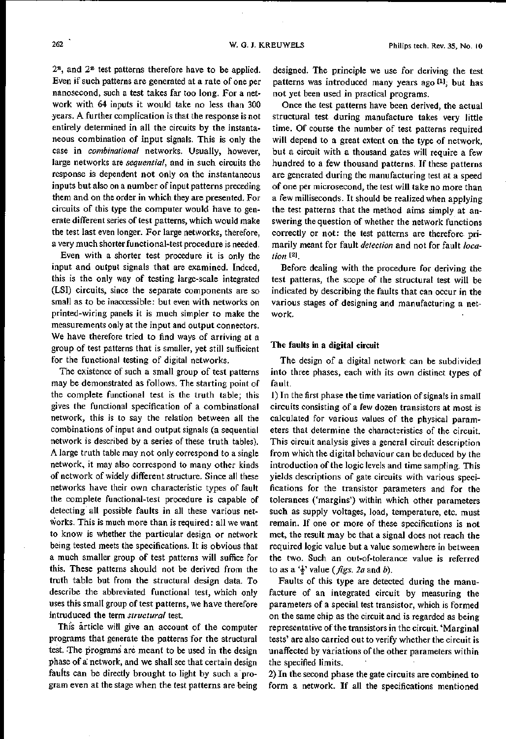*2n,* and *2n* test patterns therefore have to be applied. Even if such patterns are generated at a rate of one per nanosecond, such a test takes far too long. For a network with 64 inputs it would take no less than 300 years. A further complication is that the response is not entirely determined in all the circuits by the instantaneous combination of input signals. This is only the case in *combinational* networks. Usually, however, large networks are *sequential,* and in such circuits the response is dependent not only on the instantaneous inputs but also on a number of input patterns preceding them and on the order in which they are presented. For circuits of this type the computer would have to generate different series of test patterns, which would make the test last even longer. For large networks, therefore, a very much shorter functional-test procedure is needed.

Even with a shorter test procedure it is only the input and output signals that are examined. Indeed, this is the only way of testing large-scale integrated (LSI) circuits, since the separate components are so small as to be inaccessible: but even with networks on printed-wiring panels it is much simpler to make the measurements only at the input and output connectors. We have therefore tried to find ways of arriving at a group of test patterns that is smaller, yet still sufficient for the functional testing of digital networks.

The existence of such a small group of test patterns may be demonstrated as follows. The starting point of the complete functional test is the truth table; this gives the functional specification of a combinational network, this is to say the relation between all the combinations of input and output signals (a sequential network is described by a series of these truth tables). A large truth table may not only correspond to a single network, it mayalso correspond to many other kinds of network of widely different structure. Since all these networks have their own characteristic types of fault the complete functional-test procedure is capable of detecting all possible faults in all these various networks. This is much more than is required: all we want to know is whether the particular design or network being tested meets the specifications. It is obvious that a much smaller group of test patterns will suffice for this. These patterns should not be derived from the truth table but from the structural design data. To describe the abbreviated functional test, which only uses this small group of test patterns, we have therefore intruduced the term *structural* test.

This article will give an account of the computer programs that generate the patterns for the structural test. The programs are meant to be used in the design phase of a: network, and we shall see that certain design faults can be directly brought to light by such a program even at the stage when the test patterns are being designed. The principle we use for deriving the test patterns was introduced many years ago <sup>[1]</sup>, but has not yet been used in practical programs.

Once the test patterns have been derived, the actual structural test during manufacture takes very little time. Of course the number of test patterns required will depend to a great extent on the type of network, but a circuit with a thousand gates will require a few hundred to a few thousand patterns. If these patterns are generated during the manufacturing test at a speed of one per microsecond, the test will take no more than <sup>a</sup> few milliseconds. It should be realized when applying the test patterns that the method aims simply at answering the question of whether the network functions correctly or not: the test patterns are therefore primarily meant for fault *detection* and not for fault *location [21.*

Before dealing with the procedure for deriving the test patterns, the scope of the structural test will be indicated by describing the faults that can occur in the various stages of designing and manufacturing a network.

# The faults in a digital circuit

The design of a digital network can be subdivided into three phases, each with its own distinct types of fault.

1) In the first phase the time variation of signals in small circuits consisting of a few dozen transistors at most is calculated for various values of the physical parameters that determine the characteristics of the circuit. This circuit analysis gives a general circuit description from which the digital behaviour can be deduced by the introduction of the logic levels and time sampling. This yields descriptions of gate circuits with various specifications for the transistor parameters and for the tolerances ('margins') within which other parameters such as supply voltages, load, temperature, etc. must remain. If one or more of these specifications is not met, the result may be that a signal does not reach the required logic value but a value somewhere in between the two. Such an out-of-tolerance value is referred to as a  $\frac{1}{2}$  value (*figs. 2a* and *b*).

Faults of this type are detected during the manufacture of an integrated circuit by measuring the parameters of a special test transistor, which is formed on the same chip as the circuit and is regarded as being representative of the transistors in the circuit. 'Marginal tests' are also carried out to verify whether the circuit is unaffected by variations of the other parameters within the specified limits.

2) In the second phase the gate circuits are combined to form a network. If all the specifications mentioned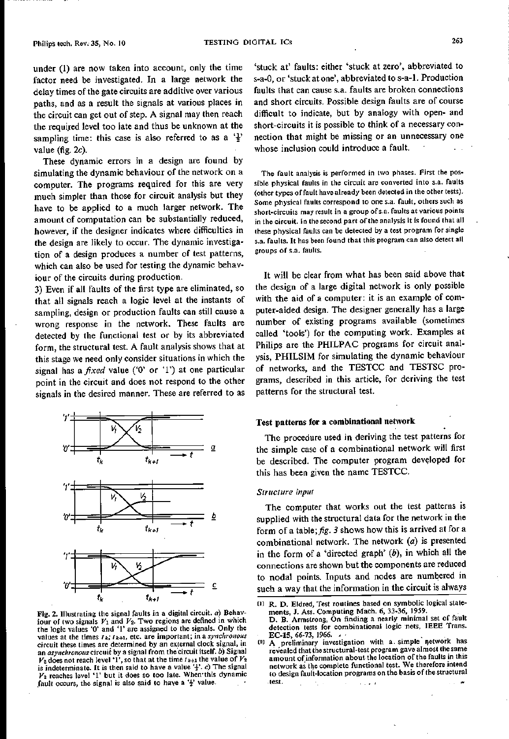under (1) are now taken into account, only the time factor need be investigated. In a large network the delay times of the gate circuits are additive over various paths, and as a result the signals at various places in the circuit can get out of step. A signal may then reach the required level too late and thus be unknown at the sampling time: this case is also referred to as a  $\frac{1}{2}$ value (fig. *2c).*

These dynamic errors in a design are found by simulating the dynamic behaviour of the network on a computer. The programs required for this are very much simpler than those for circuit analysis but they have to be applied to a much larger network. The amount of computation can be substantially reduced, however, if the designer indicates where difficulties in the design are likely to occur. The dynamic investigation of a design produces a number of test patterns, which can also be used for testing the dynamic behaviour of the circuits during production.

3) Even if all faults of the first type are eliminated, so that all signals reach a logic level at the instants of sampling, design or production faults can still cause a wrong response in the network. These faults are detected by the functional test or by its abbreviated form, the structural test. A fault analysis shows that at this stage we need only consider situations in which the signal has a *fixed* value ('0' or '1') at one particular point in the circuit and does not respond to the other signals in the desired manner. These are referred to as



Fig. 2. lllustrating the signal faults in a digital circuit. *a)* Behaviour of two signals  $V_1$  and  $V_2$ . Two regions are defined in which the logic values '0' and 'I' are assigned to the signals. Only the values at the times  $t_k$ ;  $t_{k+1}$ , etc. are important; in a *synchronous* circuit these times are determined by an external clock signal, in an *asynchronous* circuit by a signal from the circuit itself. *b*) Signal  $V_2$  does not reach level '1', so that at the time *t*  $\nu_{4+1}$  the value of  $V_2$ is indeterminate. It is then said to have a value 't'. *c*) The signal *V2* reaches level '1' but it does so too late. Wherr this dynamic fault occurs, the signal is also said to have a  $\frac{1}{2}$  value.

'stuck at' faults: either 'stuck at zero', abbreviated to s-a-O,or 'stuck at one', abbreviated to s-a-l. Production faults that can cause s.a. faults are broken connections and short circuits. Possible design faults are of course difficult to indicate, but by analogy with open- and short-circuits it is possible to think of a necessary connection that might be missing or an unnecessary one whose inclusion could introduce a fault.

The fault analysis is performed in two phases. First the possible physical faults in the circuit are converted into s.a, faults (other types offault have already been detected in the other tests). Some physical faults correspond to one s.a. fault, others such as short-circuits may result in a group ofs.a. faults at various points in the circuit. In the second part of the analysis it is found that all these physical faults can be detected by a test program for single s.a. faults. It has been found that this program can also detect all groups of s.a. faults.

It will be clear from what has been said above that the design of a large digital network is only possible with the aid of a computer: it is an example of computer-aided design. The designer generally has a large number of existing programs available (sometimes called 'tools') for the computing work. Examples at Philips are the PHILPAC programs for circuit analysis, PHILSIM for simulating the dynamic behaviour of networks, and the TESTCC and TESTSC programs, described in this article, for deriving the test patterns for the structural test.

# Test patterns for a **combinational network**

The procedure used in deriving the test patterns for the simple case of a combinational network will first be described. The computer program developed for this has been given the name TESTCC.

#### *Structure input*

The computer that works out the test patterns is supplied with the structural data for the network in the form of a table;  $fig. 3$  shows how this is arrived at for a combinational network. The network *(a)* is presented in the form of a 'directed graph' *(b),* in which all the connections are shown but the components are reduced to nodal points. Inputs and nodes are numbered in such a way that the information in the circuit is always

<sup>[1)</sup> R. D. Eldred, Test routines based on symbolic logical statements, J. Ass. Computing Mach. 6, 33-36, 1959. D. B. Armstrong, On finding a nearly minimal set of fault

detection tests for combinational logic 'nets, IEEE Trans. EC-15, 66-73, 1966. *I·* [2) A preliminary investigation with a. simple' network has

revealed that the structural-test program gave almost the same amount of information about the location of the faults in this network as the complete functional test. We therefore intend to design fault-location programs on the basis of the structural ,test. $\sim 100$   $\mu$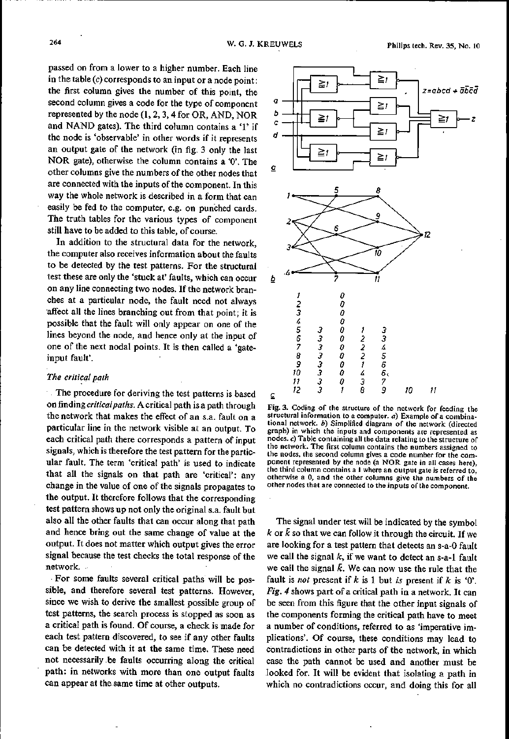passed on from a lower to a higher number. Each line in the table *(c)* corresponds to an input or a node point: the first column gives the number of this point, the second column gives a code for the type of component represented by the node (1, 2, 3, 4 for OR, AND, NOR and NAND gates). The third column contains a '1' if the node is 'observable' in other words if it represents an output gate of the network (in fig. 3 only the last NOR gate), otherwise the column contains a '0'. The other columns give the numbers of the other nodes that are connected with the inputs of the component. In this way the whole network is described in a form that can easily be fed to the computer, e.g. on punched cards. The truth tables for the various types of component still have to be added to this table, of course.

In addition to the structural data for the network, the computer also receives information about the faults to be detected by the test patterns. For the structural test these are only the 'stuck at' faults, which can occur on any line connecting two nodes. If the network branches at a particular node, the fault need not always affect all the lines branching out from that point; it is possible that the fault will only appear on one of the lines beyond the node, and hence only at the input of one of the next nodal points. It is then called a 'gateinput fault'.

### *The critical path*

The procedure for deriving the test patterns is based on finding *critical paths.* A critical path is a path through the network that makes the effect of an s.a. fault on a particular line in the network visible at an output. To each critical path there corresponds a pattern of input signals, which is therefore the test pattern for the particular fault. The term 'critical path' is used to indicate that all the signals on that path are 'critical': any change in the value of one of the signals propagates to the output. It therefore follows that the corresponding test pattern shows up not only the original s.a. fault but also all the other faults that can occur along that path and hence bring out the same change of value at the output. It does not matter which output gives the error signal because the test checks the total response of the network. .

,For some faults several critical paths will be possible, and therefore several test patterns. However, since we wish to derive the smallest possible group of test patterns, the search process is stopped as soon as a critical path is found. Of course, a check is made for each test pattern discovered, to see if any other faults can be detected with it at the same time. These need not necessarily. be faults occurring along the critical path: in networks with more than one output faults can appear at the same time at other outputs.



Fig. 3. Coding of the structure of the network for feeding the structural information to a computer. *a)* Example of a combinational network. *b)* Simplified diagram of the network (directed graph) in which the inputs and components are represented as nodes. *c)* Table containing all the data relating to the structure of the network. The first column contains the numbers assigned to the nodes, the second column gives a code number for the component represented by the node (a NOR gate in all cases here), the third column contains a 1 where an output gate is referred to, otherwise a 0, and the other columns give the numbers of the other nodes that are connected to the inputs of the component.

The signal under test will be indicated by the symbol  $k$  or  $\bar{k}$  so that we can follow it through the circuit. If we are looking for a test pattern that detects an s-a-O fault we call the signal *k,* if we want to detect an s-a-l fault we call the signal  $\bar{k}$ . We can now use the rule that the fault is *not* present if *k* is 1 but *is* present if *k* is '0'. *Fig.* 4 shows part of a critical path in a network. It can be seen from this figure that the other input signals of the components forming the critical path have to meet a number of conditions, referred to as 'imperative implications'. Of course, these conditions may lead to contradictions in other parts of the network, in which case the path cannot be used and another must be looked for. It will be evident that isolating a path in which no contradictions occur, and doing this for all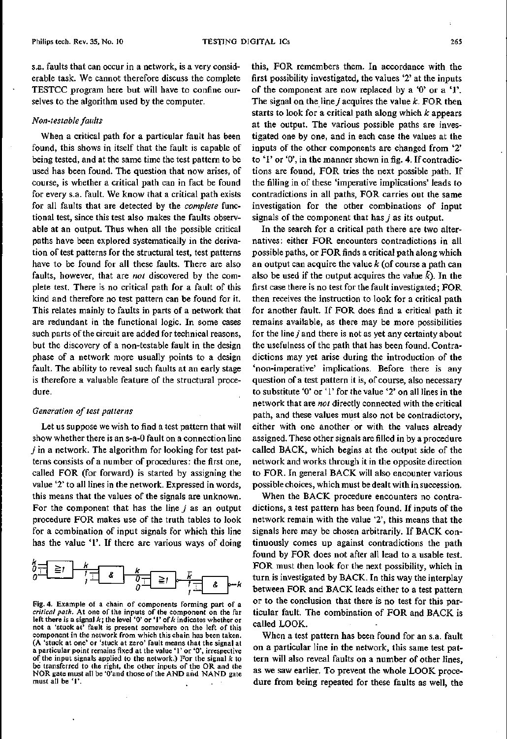s.a. faults that can occur in a network, is a very considerable task. We cannot therefore discuss the complete TESTCC program here but will have to confine ourselves to the algorithm used by the computer.

#### *Non-testable faults*

When a critical path for a particular fault has been found, this shows in itself that the fault is capable of being tested, and at the same time the test pattern to be used has been found. The question that now arises, of course, is whether a critical path can in fact be found for every s.a. fault. We know that a critical path exists for all faults that are detected by the *complete* functional test, since this test also makes the faults observable at an output. Thus when all the possible critical paths have been explored systematically in the derivation of test patterns for the structural test, test patterns have to be found for all these faults. There are also faults, however, that are *not* discovered by the complete test. There is no critical path for a fault of this kind and therefore no test pattern can be found for it. This relates mainly to faults in parts of a network that are redundant in the functional logic. In some cases such parts of the circuit are added for technical reasons, but the discovery of a non-testable fault in the design phase of a network more usually points to a design fault. The ability to reveal such faults at an early stage is therefore a valuable feature of the structural procedure.

#### *Generation of test patterns*

Let us suppose we wish to find a test pattern that will show whether there is an s-a-O fault on a connection line *j* in a network. The algorithm for looking for test patterns consists of a number of procedures: the first one, called FOR (for forward) is started by assigning the value '2' to all lines in the network. Expressed in words, this means that the values of the signals are unknown. For the component that has the line *j* as an output procedure FOR makes use of the truth tables to look for a combination of input signals for which this line has the value '1'. If there are various ways of doing



Fig. 4. Example of a chain of components forming part of a *critical path.* At one of the inputs of the component on the far left there is a signal *k;* the level '0' or '1' of *k* indicates whether or not a 'stuck at' fault is present somewhere on the left of this component in the network from which this chain has been taken. (A 'stuck at one' or 'stuck at zero' fault means that the signal at a particular point remains fixed at the value' l' or '0', irrespective of the input signals applied to the network.) For the signal *k* to be transferred to the right, the other inputs of the OR and the NOR gate must all be 'O'and those of the AND and NAND gate must all be '1'.

this, FOR remembers. them. In accordance with. the first possibility investigated, the values '2' at the inputs of the component are now replaced by a '0' or a '1'. The signal on the line  $j$  acquires the value  $k$ . FOR then starts to look for a critical path along which *k* appears at the output. The various possible paths are investigated one by one, and in each case the values at the inputs of the other components are changed from '2' to '1' or '0', in the manner shown in fig. 4. If contradietions are found, FOR tries the next possible path. If the filling in of these 'imperative implications' leads to contradictions in all paths, FOR carries out the same investigation for the other combinations of input signals of the component that has *j* as its output.

In the search for a critical path there are two alternatives: either FOR encounters contradictions in all possible paths, or FOR finds a critical path along which an output can acquire the value *k* (of course a path can also be used if the output acquires the value  $\vec{k}$ ). In the first case there is no test for the fault investigated; FOR then receives the instruction to look for a critical path for another fault. If FOR does find a critical path it remains available, as there may be more possibilities for the line  $j$  and there is not as yet any certainty about the usefulness of the path that has been found. Contradictions may yet arise during the introduetion of the 'non-imperative' implications. Before there is any question of a test pattern it is, of course, also necessary to substitute '0' or '1' for the value '2' on all lines in the network that are *not* directly connected with the critical path, and these values must also not be contradictory, either with one another or with the values already assigned. These other signals are filled in by a procedure called BACK, which begins at the output side of the network and works through it in the opposite direction to FOR. In general BACK will also encounter various possible choices, which must be dealt with in succession.

When the BACK procedure encounters no contradictions, a test pattern has been found. If inputs of the network remain with the value '2', this means that the signals here may be chosen arbitrarily. If BACK continuously comes up against contradictions the path found by FOR does not after all lead to a usable test. FOR must then look for the next possibility, which in turn is investigated by BACK. In this way the interplay between FOR and BACK leads either to a test pattern or to the conclusion that there is no test for this particular fault. The combination of FOR and BACK is called LOOK.

When a test pattern has been found for an s.a. fault on a particular line in the network, this same test pattern will also reveal faults on a number of other lines, as we saw earlier. To prevent the whole LOOK procedure from being repeated for these faults as well, the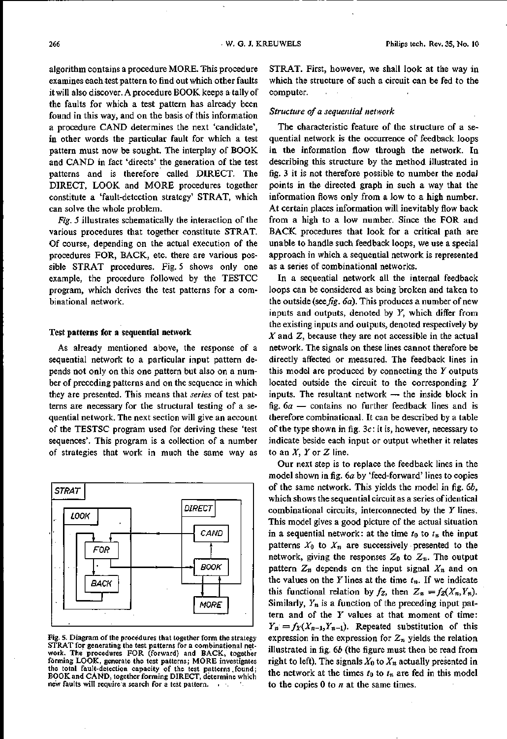algorithm contains a procedure MORE. This procedure examines each test pattern to find out which other faults it will also discover. A procedure BOOK keeps a tally of the faults for which a test pattern has already been found in this way, and on the basis of this information a procedure CAND determines the next 'candidate', in other words the particular fault for which a test pattern must now be sought. The interplay of BOOK and CAND in fact 'directs' the generation of the test patterns and is therefore called DIRECT. The DIRECT, LOOK and MORE procedures together constitute a 'fault-detection strategy' STRAT, which can solve the whole problem.

*Fig.* 5 illustrates schematically the interaction of the various procedures that together constitute STRAT. Of course, depending on the actual execution of the procedures FOR, BACK, etc. there are various possible STRAT procedures. Fig. 5 shows only one example, the procedure followed by the TESTCC program, which derives the test patterns for a combinational network.

#### Test patterns **for** a sequential network

As already mentioned above, the response of a sequential network to a particular input pattern depends not only on this one pattern but also on a number of preceding patterns and on the sequence in which they are presented. This means that *series* of test patterns are necessary for the structural testing of a sequential network. The next section will give an account of the TESTSC program used for deriving these 'test sequences'. This program is a collection of a number of strategies that work in much the same way as



Fig. 5. Diagram of the procedures that together form the strategy STRAT for generating the test patterns for a combinational network. The procedures FOR (forward) and BACK, together forming LOOK, generate the test patterns; MORE investigates the total fault-detection capacity of the test patterns found; BOOK and CÄND, together forming DIRECT, determine which new faults will require a search for a test pattern.

STRAT. First, however, we shall look at the way in which the structure of such a circuit can be fed to the computer.

# *Structure of a sequential network*

The characteristic feature of the structure of a sequential network is the occurrence of feedback loops in the information flow through the network. In describing this structure by the method illustrated in fig. 3 it is not therefore possible to number the nodal points in the directed graph in such a way that the information flows only from a low to a high number. At certain places information will inevitably flow back from a high to a low number. Since the FOR and BACK procedures that look for a critical path are unable to handle such feedback loops, we use a special approach in which a sequential network is represented as a series of combinational networks.

In a sequential network all the internal feedback loops can be considered as being broken and taken to the outside *(see fig. 6a)*. This produces a number of new inputs and outputs, denoted by *Y,* which differ from the existing inputs and outputs, denoted respectively by *X* and Z, because they are not accessible in the actual network. The signals on these lines cannot therefore be directly affected or measured. The feedback lines in this model are produced by connecting the *Y* outputs located outside the circuit to the corresponding *Y* inputs. The resultant network  $-$  the inside block in fig. *6a -* contains no further feedback lines and is therefore combinational. It can be described by a table of the type shown in fig. 3c: it is, however, necessary to indicate beside each input or output whether it relates to an *X, Y* or Z line.

Our next step is to replace the feedback lines in the model shown in fig. *6a* by 'feed-forward' lines to copies of the same network. This yields the model in fig. *6b,* which showsthe sequential circuit as a series of identical combinational circuits, interconnected by the *Y* lines. This model gives a good picture of the actual situation in a sequential network: at the time  $t_0$  to  $t_n$  the input patterns  $X_0$  to  $X_n$  are successively presented to the network, giving the responses  $Z_0$  to  $Z_n$ . The output pattern  $Z_n$  depends on the input signal  $X_n$  and on the values on the  $Y$  lines at the time  $t_n$ . If we indicate this functional relation by  $f_z$ , then  $Z_n = f_z(X_n, Y_n)$ . Similarly, *Yn* is a function of the preceding input pattern and of the *Y* values at that moment of time:  $Y_n = f_Y(X_{n-1}, Y_{n-1})$ . Repeated substitution of this expression in the expression for  $Z_n$  yields the relation illustrated in fig. *6b* (the figure must then be read from right to left). The signals  $X_0$  to  $X_n$  actually presented in the network at the times  $t_0$  to  $t_n$  are fed in this model to the copies 0 to *n* at the same times.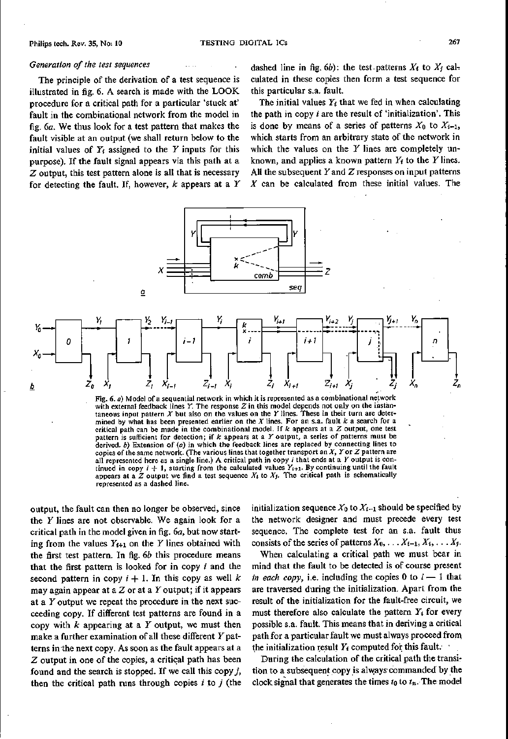# *Generation of the test sequences*

The principle of the derivation of a test sequence is illustrated in fig. 6. A search is made with the LOOK procedure for a critical path for a particular 'stuck at' fault in the combinational network from the model in fig. *6a.* We thus look for a test pattern that makes the fault visible at an output (we shall return below to the initial values of *Yt* assigned to the *Y* inputs for this purpose). If the fault signal appears via this path at a Z output, this test pattern alone is all that is necessary for detecting the fault. If, however, *k* appears at a *Y* dashed line in fig.  $6b$ ): the test patterns  $X_i$  to  $X_j$  calculated in these copies then form a test sequence for this particular s.a. fault.

The initial values  $Y_i$  that we fed in when calculating the path in copy *i* are the result of 'initialization'. This is done by means of a series of patterns  $X_0$  to  $X_{i-1}$ , which starts from an arbitrary state of the network in which the values on the *Y* lines are completely unknown, and applies a known pattern  $Y_t$  to the *Y* lines. All the subsequent  $Y$  and  $Z$  responses on input patterns *X* can be calculated from these initial values. The



Fig. 6. a) Model of a sequential network in which it is represented as a combinational network with external feedback lines *Y.* The response *Z* in this model depends not only on the instàntaneous input pattern *X* but also on the values on the *Y* lines. These in their turn are determined by what has been presented earlier on the *X* lines. For an s.a. fault *k* a search for a critical path can be made in the combinational model. If *k* appears at a *Z* output, one test pattern is sufficient for detection; if *k* appears at a Youtput, a series of patterns must be derived. *b)* Extension of *(a)* in which the feedback lines are replaced by connecting lines to copies of the same network. (The various lines that together transport an *X, Yor Z* pattern are all represented here as <sup>a</sup> single line.) <sup>A</sup> critical path in copy i that ends at <sup>a</sup> *<sup>Y</sup>* output is continued in copy  $i + 1$ , starting from the calculated values  $Y_{i+1}$ . By continuing until the fault appears at a  $\bar{Z}$  output we find a test sequence  $X_i$  to  $X_j$ . The critical path is schematically represented as a dashed line.

output, the fault can then no longer be observed, since the *Y* lines are not observable. We again look for a critical path in the model given in fig. *6a,* but now starting from the values  $Y_{t+1}$  on the *Y* lines obtained with the first test pattern. In fig. *6b* this procedure means that the first pattern is looked for in copy *i* and the second pattern in copy  $i + 1$ . In this copy as well k may again appear at a  $Z$  or at a  $Y$  output; if it appears at a *Y* output we repeat the procedure in the next succeeding copy. If different test patterns are found in a copy with *k* appearing at a *Y* output, we must then make a further examination of all these different *Y*patterns inthe next copy. As soon as the fault appears at a Z output in one of the copies, a critical path has been found and the search is stopped. If we call this copy *j,* then the critical path runs through copies *i* to *j* (the initialization sequence  $X_0$  to  $X_{i-1}$  should be specified by the network designer and must precede every test sequence. The complete test for an s.a. fault thus consists of the series of patterns  $X_0, \ldots, X_{i-1}, X_i, \ldots, X_j$ .

When calculating a critical path we must bear in mind that the fault to be detected is of course present *in each copy,* i.e. including the copies 0 to  $i-1$  that are traversed during the initialization. Apart from the result of the initialization for the fault-free circuit, we must therefore also calculate the pattern *Yt* for every possible s.a. fault. This means that in deriving a critical path for a particular fault we mustalways proceed from the initialization result  $Y_t$  computed for this fault.

During the calculation of the critical path the transition to a subsequent copy js always commanded by the clock signal that generates the times  $t_0$  to  $t_n$ . The model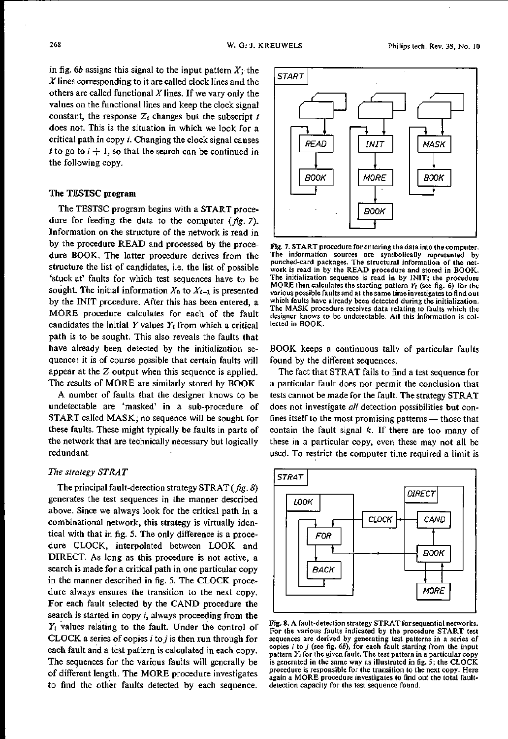in fig. *6b* assigns this signal to the input pattern *X;* the  $X$  lines corresponding to it are called clock lines and the others are called functional *<sup>X</sup>* lines. If we vary only the values on the functional lines and keep the clock signal constant, the response  $Z_i$  changes but the subscript  $i$ does not. This is the situation in which we look for a critical path in copy *i.* Changing the clock signal causes *i* to go to  $i + 1$ , so that the search can be continued in the following copy.

# **The** TESTSC **program**

The TESTSC program begins with a START procedure for feeding the data to the computer *(fig. 7).* Information on the structure of the network is read in by the procedure READ and processed by the procedure BOOK. The latter procedure derives from the structure the list of candidates, i.e. the list of possible 'stuck at' faults for which test sequences have to be sought. The initial information  $X_0$  to  $X_{i-1}$  is presented by the INIT procedure. After this has been entered, a MORE procedure calculates for each of the fault candidates the initial  $Y$  values  $Y_t$  from which a critical path is to be sought. This also reveals the faults that have already been detected by the initialization sequence: it is of course possible that certain faults will appear at the Z output when this sequence is applied. The results of MORE are similarly stored by BOOK.

A number of faults that the designer knows to be undetectable are 'masked' in a sub-procedure of START called MASK; no sequence will be sought for these faults. These might typically be faults in parts of the network that are technically necessary but logically redundant.

# *The strategy STRAT*

The principal fault-detection strategy STRAT *(fig. 8)* generates the test sequences in the manner described above. Since we always look for the critical path in a combinational network, this strategy is virtually identical with that in fig. 5. The only difference is a procedure CLOCK, interpolated between LOOK and DIRECT. As long as this procedure is not active, a search is made for a critical path in one particular copy in the manner described in fig. 5. The CLOCK procedure always ensures the transition to the next copy. For each fault selected by the CAND procedure the search is started in copy *i,* always proceeding from the *Yi* values relating to the fault. Under the control of CLOCK a series of copies *i* to *j* is then run through for each fault and a test pattern is calculated in each copy. The sequences for the various faults will generally be of different length. The MORE procedure investigates to find the other faults detected by each sequence.



Fig. 7. START procedure for entering the data into the computer. The information sources are symbolically represented by punched-card packages. The structural information of the network is read in by the READ procedure and stored in BOOK. The initialization sequence is read in by INIT; the procedure MORE then calculates the starting pattern *Yj* (see fig. 6) for the various possible faults and at the same time investigates to find out which faults have already been detected during the initialization. The MASK procedure receives data relating to faults which the designer knows to be undetectable. All this information is collected in BOOK.

BOOK keeps a continuous tally of particular faults found by the different sequences.

The fact that STRAT fails to find a test sequence for a particular fault does not permit the conclusion that tests cannot be made for the fault. The strategy STRAT does not investigate *all* detection possibilities but confines itself to the most promising patterns  $-$  those that contain the fault signal *k,* If there are too many of these in a particular copy, even these may not all be used. To restrict the computer time required a limit is



Fig. 8. A fault-detection strategy STRAT for sequential networks. For the various faults indicated by the procedure START test sequences are derived by generating test patterns in a series of copies i to *<sup>j</sup>* (see fig. *6b),* for each fault starting from the input pattern *Yj* for the given fault. The test pattern in a particular copy is generated in the same way as illustrated in fig. 5; the CLOCK procedure is responsible for the transition to the next copy. Here again a MORE procedure investigates to find out the total faultdetection capacity for the test sequence found.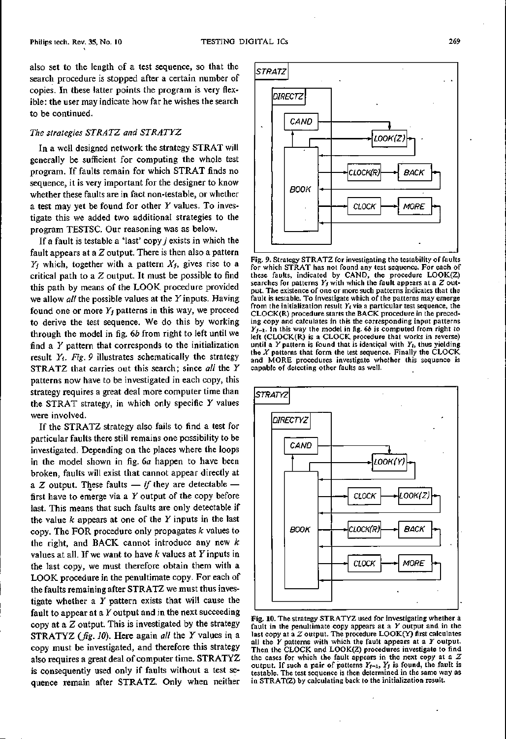also set to the length of a test sequence, so that the search procedure is stopped after a certain number of copies. In these latter points the program is very flexible: the user may indicate how far he wishes the search to be continued.

# *The strategies STRATZ and STRATYZ*

In a well designed network the strategy STRAT will generally be sufficient for computing the whole test program. If faults remain for which STRAT finds no sequence, it is very important for the designer to know whether these faults are in fact non-testable, or whether a test may yet be found for other *Y* values. To investigate this we added two additional strategies to the program TESTSC. Our reasoning was as below.

If a fault is testable a 'last' copy *j* exists in which the fault appears at a  $Z$  output. There is then also a pattern  $Y_i$  which, together with a pattern  $X_i$ , gives rise to a critical path to a Z output. It must be possible to find this path by means of the LOOK procedure provided we allow *all* the possible values at the *Y* inputs. Having found one or more  $Y_i$  patterns in this way, we proceed to derive the test sequence. We do this by working through the model in fig. *6b* from right to left until we find a *Y* pattern that corresponds to the initialization result *Yt. Fig.* 9 illustrates schematically the strategy STRATZ that carries out this search; since *all* the *Y* patterns now have to be investigated in each copy, this strategy requires a great deal more computer time than the STRAT strategy, in which only specific *Y* values were involved.

If the STRATZ strategy also fails to find a test for particular faults there still remains one possibility to be investigated. Depending on the places where the loops in the model shown in fig. *6a* happen to have been broken, faults will exist that cannot appear directly at a Z output. These faults  $-$  *if* they are detectable  $$ first have to emerge via a *Y* output of the copy before last. This means that such faults are only detectable if the value *k* appears at one of the *Y* inputs in the last copy. The FOR procedure only propagates *k* values to the right, and BACK cannot introduce any new *k* values at all. If we want to have *k* values at *Y* inputs in the last copy, we must therefore obtain them with a LOOK procedure in the penultimate copy. For each of the faults remaining after STRATZ we must thus investigate whether a *Y* pattern exists that will cause the fault to appear at a *Y* output and in the next succeeding copy at a Z output. This is investigated by the strategy STRATYZ *(fig. la).* Here again *all* the Yvalues in a copy must be investigated, and therefore this strategy also requires a great deal of computer time. STRATYZ is consequently used only if faults without a test sequence remain after STRATZ. Only when neither



Fig. 9. Strategy STRATZ for investigating the testability of faults for which STRAT has not found any test sequence. For each of these faults, indicated by CAND, the procedure LOOK(Z) searches for patterns  $Y_j$  with which the fault appears at a  $Z$  output. The existence of one or more such patterns indicates that the fault is testable. To investigate which of the patterns may emerge from the initialization result  $Y_i$  via a particular test sequence, the CLOCK(R) procedure starts the BACK procedure in the preceding copy and calculates in this the corresponding input patterns *Yj-l.* In this way the model in fig. *6b* is computed from right to left (CLOCK(R) is a CLOCK procedure that works in reverse) until a *Y* pattern is found that is identical with *Yj,* thus yielding the *X* patterns that form the test sequence. Finally the CLOCK and MORE procedures investigate whether this sequence is capable of detecting other faults as well.



Fig. 10. The strategy STRATYZ used for investigating whether a fault in the penultimate copy appears at a *Y* output and in the last copy at a  $Z$  output. The procedure  $\text{LOOK}(Y)$  first calculates all the *Y* patterns with which the fault appears at a *Y* output. Then the CLOCK and LOOK(Z) procedures investigate to find the cases for which the fault appears in the next copy at a  $Z$ output. If such a pair of patterns  $Y_{j-1}$ ,  $Y_j$  is found, the fault is testable. The test sequence is then determined in the same way as in STRAT(Z) by calculating back to the initialization result.